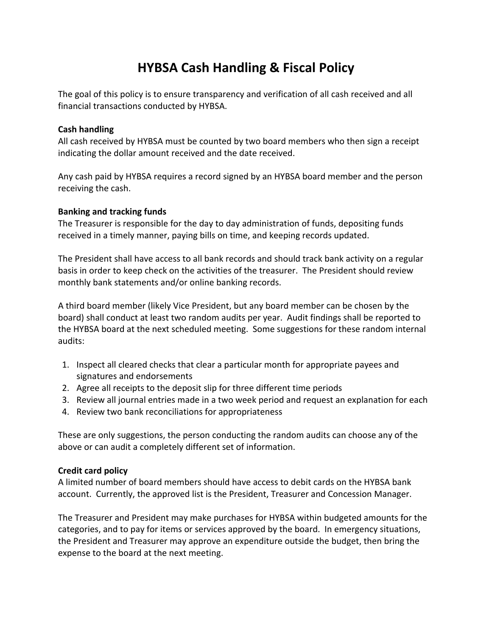# **HYBSA Cash Handling & Fiscal Policy**

The goal of this policy is to ensure transparency and verification of all cash received and all financial transactions conducted by HYBSA.

## **Cash handling**

All cash received by HYBSA must be counted by two board members who then sign a receipt indicating the dollar amount received and the date received.

Any cash paid by HYBSA requires a record signed by an HYBSA board member and the person receiving the cash.

#### **Banking and tracking funds**

The Treasurer is responsible for the day to day administration of funds, depositing funds received in a timely manner, paying bills on time, and keeping records updated.

The President shall have access to all bank records and should track bank activity on a regular basis in order to keep check on the activities of the treasurer. The President should review monthly bank statements and/or online banking records.

A third board member (likely Vice President, but any board member can be chosen by the board) shall conduct at least two random audits per year. Audit findings shall be reported to the HYBSA board at the next scheduled meeting. Some suggestions for these random internal audits:

- 1. Inspect all cleared checks that clear a particular month for appropriate payees and signatures and endorsements
- 2. Agree all receipts to the deposit slip for three different time periods
- 3. Review all journal entries made in a two week period and request an explanation for each
- 4. Review two bank reconciliations for appropriateness

These are only suggestions, the person conducting the random audits can choose any of the above or can audit a completely different set of information.

## **Credit card policy**

A limited number of board members should have access to debit cards on the HYBSA bank account. Currently, the approved list is the President, Treasurer and Concession Manager.

The Treasurer and President may make purchases for HYBSA within budgeted amounts for the categories, and to pay for items or services approved by the board. In emergency situations, the President and Treasurer may approve an expenditure outside the budget, then bring the expense to the board at the next meeting.